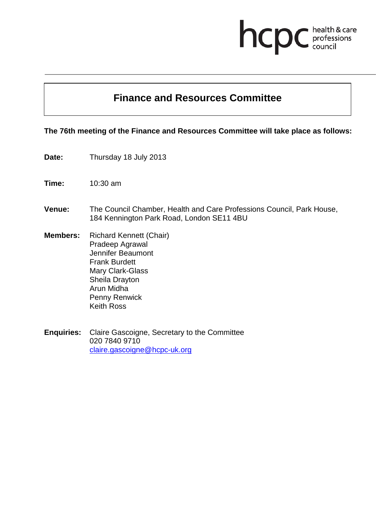# **Finance and Resources Committee**

health & care<br>professions<br>council

hcpc

**The 76th meeting of the Finance and Resources Committee will take place as follows:**

- **Date:** Thursday 18 July 2013
- **Time:** 10:30 am
- **Venue:** The Council Chamber, Health and Care Professions Council, Park House, 184 Kennington Park Road, London SE11 4BU
- **Members:** Richard Kennett (Chair) Pradeep Agrawal Jennifer Beaumont Frank Burdett Mary Clark-Glass Sheila Drayton Arun Midha Penny Renwick Keith Ross
- **Enquiries:** Claire Gascoigne, Secretary to the Committee 020 7840 9710 claire.gascoigne@hcpc-uk.org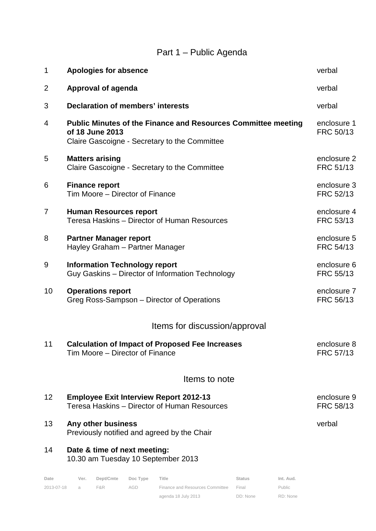## Part 1 – Public Agenda

| 1                             | <b>Apologies for absence</b>                                                                                                                    | verbal                   |  |  |  |  |  |  |  |
|-------------------------------|-------------------------------------------------------------------------------------------------------------------------------------------------|--------------------------|--|--|--|--|--|--|--|
| $\overline{2}$                | Approval of agenda                                                                                                                              | verbal                   |  |  |  |  |  |  |  |
| 3                             | <b>Declaration of members' interests</b>                                                                                                        | verbal                   |  |  |  |  |  |  |  |
| $\overline{4}$                | <b>Public Minutes of the Finance and Resources Committee meeting</b><br>of 18 June 2013<br>Claire Gascoigne - Secretary to the Committee        | enclosure 1<br>FRC 50/13 |  |  |  |  |  |  |  |
| 5                             | <b>Matters arising</b><br>Claire Gascoigne - Secretary to the Committee                                                                         | enclosure 2<br>FRC 51/13 |  |  |  |  |  |  |  |
| 6                             | <b>Finance report</b><br>Tim Moore - Director of Finance                                                                                        | enclosure 3<br>FRC 52/13 |  |  |  |  |  |  |  |
| $\overline{7}$                | <b>Human Resources report</b><br>Teresa Haskins - Director of Human Resources                                                                   | enclosure 4<br>FRC 53/13 |  |  |  |  |  |  |  |
| 8                             | <b>Partner Manager report</b><br>Hayley Graham - Partner Manager                                                                                | enclosure 5<br>FRC 54/13 |  |  |  |  |  |  |  |
| 9                             | <b>Information Technology report</b><br>Guy Gaskins - Director of Information Technology                                                        | enclosure 6<br>FRC 55/13 |  |  |  |  |  |  |  |
| 10                            | <b>Operations report</b><br>Greg Ross-Sampson - Director of Operations                                                                          | enclosure 7<br>FRC 56/13 |  |  |  |  |  |  |  |
| Items for discussion/approval |                                                                                                                                                 |                          |  |  |  |  |  |  |  |
| 11                            | <b>Calculation of Impact of Proposed Fee Increases</b><br>Tim Moore - Director of Finance                                                       | enclosure 8<br>FRC 57/13 |  |  |  |  |  |  |  |
| Items to note                 |                                                                                                                                                 |                          |  |  |  |  |  |  |  |
| 12                            | <b>Employee Exit Interview Report 2012-13</b><br>Teresa Haskins – Director of Human Resources                                                   | enclosure 9<br>FRC 58/13 |  |  |  |  |  |  |  |
| 13                            | Any other business<br>Previously notified and agreed by the Chair                                                                               | verbal                   |  |  |  |  |  |  |  |
| 14                            | Date & time of next meeting:<br>10.30 am Tuesday 10 September 2013                                                                              |                          |  |  |  |  |  |  |  |
| Date<br>2013-07-18            | Dept/Cmte<br>Doc Type<br>Title<br>Int. Aud.<br>Ver.<br><b>Status</b><br>F&R<br><b>AGD</b><br>Finance and Resources Committee<br>Final<br>Public |                          |  |  |  |  |  |  |  |

2013-07-18 a F&R AGD Finance and Resources Committee Final

agenda 18 July 2013

DD: None

RD: None